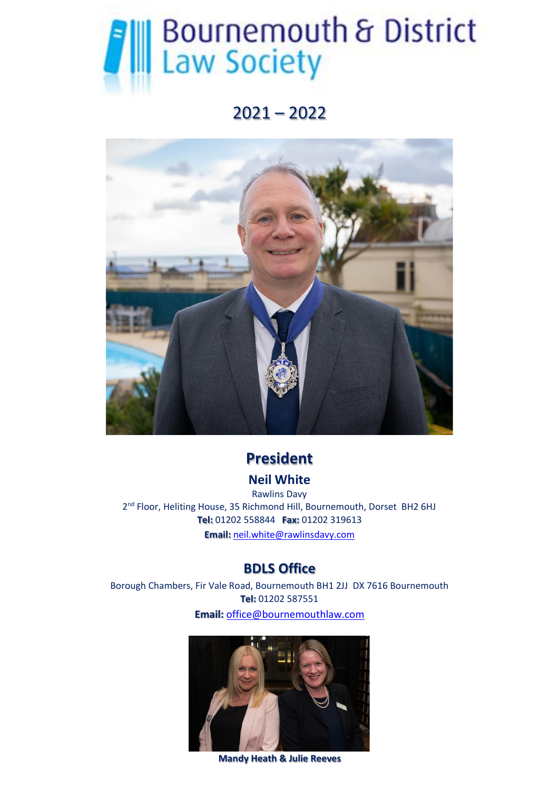# **All Bournemouth & District**<br>
Law Society

# 2021 – 2022



## **President**

## **Neil White**

Rawlins Davy 2<sup>nd</sup> Floor, Heliting House, 35 Richmond Hill, Bournemouth, Dorset BH2 6HJ **Tel:** 01202 558844 **Fax:** 01202 319613 **Email:** [neil.white@rawlinsdavy.com](mailto:neil.white@rawlinsdavy.com)

## **BDLS Office**

Borough Chambers, Fir Vale Road, Bournemouth BH1 2JJ DX 7616 Bournemouth **Tel:** 01202 587551 **Email:** [office@bournemouthlaw.com](mailto:office@bournemouthlaw.com)



**Mandy Heath & Julie Reeves**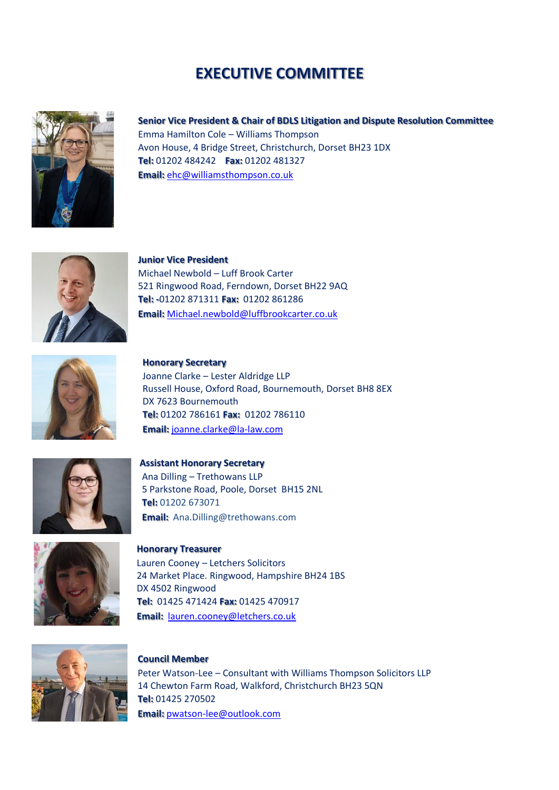## **EXECUTIVE COMMITTEE**



#### **Senior Vice President & Chair of BDLS Litigation and Dispute Resolution Committee**

Emma Hamilton Cole – Williams Thompson Avon House, 4 Bridge Street, Christchurch, Dorset BH23 1DX **Tel:** 01202 484242 **Fax:** 01202 481327 **Email:** [ehc@williamsthompson.co.uk](mailto:ehc@williamsthompson.co.uk) 



**Junior Vice President** Michael Newbold – Luff Brook Carter 521 Ringwood Road, Ferndown, Dorset BH22 9AQ **Tel: -**01202 871311 **Fax:** 01202 861286 **Email:** [Michael.newbold@luffbrookcarter.co.uk](mailto:Michael.newbold@luffbrookcarter.co.uk)



 **Honorary Secretary** Joanne Clarke – Lester Aldridge LLP Russell House, Oxford Road, Bournemouth, Dorset BH8 8EX DX 7623 Bournemouth  **Tel:** 01202 786161 **Fax:** 01202 786110  **Email:** [joanne.clarke@la-law.com](mailto:joanne.clarke@la-law.com)



**Assistant Honorary Secretary** Ana Dilling – Trethowans LLP 5 Parkstone Road, Poole, Dorset BH15 2NL **Tel:** 01202 673071 **Email:** Ana.Dilling@trethowans.com



 **Honorary Treasurer**  Lauren Cooney – Letchers Solicitors 24 Market Place. Ringwood, Hampshire BH24 1BS DX 4502 Ringwood  **Tel:** 01425 471424 **Fax:** 01425 470917  **Email:** [lauren.cooney@letchers.co.uk](mailto:lauren.cooney@letchers.co.uk)



#### **Council Member**

Peter Watson-Lee – Consultant with Williams Thompson Solicitors LLP 14 Chewton Farm Road, Walkford, Christchurch BH23 5QN **Tel:** 01425 270502 **Email:** [pwatson-lee@outlook.com](mailto:pwatson-lee@outlook.com)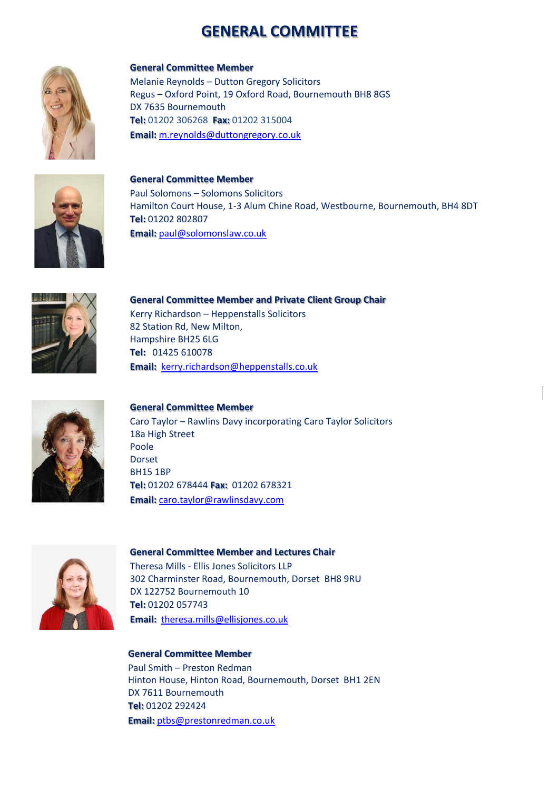## **GENERAL COMMITTEE**



**General Committee Member** Melanie Reynolds – Dutton Gregory Solicitors Regus – Oxford Point, 19 Oxford Road, Bournemouth BH8 8GS DX 7635 Bournemouth **Tel:** 01202 306268 **Fax:** 01202 315004 **Email:** [m.reynolds@duttongregory.co.uk](mailto:m.reynolds@duttongregory.co.uk)



**General Committee Member** Paul Solomons – Solomons Solicitors Hamilton Court House, 1-3 Alum Chine Road, Westbourne, Bournemouth, BH4 8DT **Tel:** 01202 802807 **Email:** [paul@solomonslaw.co.uk](mailto:paul@solomonslaw.co.uk)



**General Committee Member and Private Client Group Chair** Kerry Richardson – Heppenstalls Solicitors 82 Station Rd, New Milton, Hampshire BH25 6LG **Tel:** 01425 610078 **Email:** [kerry.richardson@heppenstalls.co.uk](mailto:kerry.richardson@heppenstalls.co.uk)



#### **General Committee Member**

Caro Taylor – Rawlins Davy incorporating Caro Taylor Solicitors 18a High Street Poole Dorset BH15 1BP **Tel:** 01202 678444 **Fax:** 01202 678321 **Email:** [caro.taylor@rawlinsdavy.com](mailto:caro.taylor@rawlinsdavy.com)



#### **General Committee Member and Lectures Chair**

Theresa Mills - Ellis Jones Solicitors LLP 302 Charminster Road, Bournemouth, Dorset BH8 9RU DX 122752 Bournemouth 10 **Tel:** 01202 057743 **Email:** [theresa.mills@ellisjones.co.uk](mailto:theresa.mills@ellisjones.co.uk)

**General Committee Member** Paul Smith – Preston Redman Hinton House, Hinton Road, Bournemouth, Dorset BH1 2EN DX 7611 Bournemouth **Tel:** 01202 292424 **Email:** [ptbs@prestonredman.co.uk](mailto:ptbs@prestonredman.co.uk)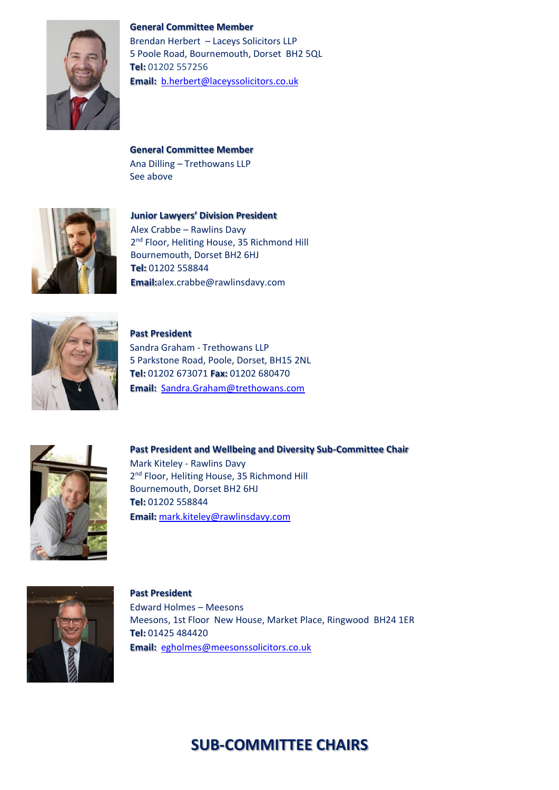



Brendan Herbert – Laceys Solicitors LLP 5 Poole Road, Bournemouth, Dorset BH2 5QL **Tel:** 01202 557256 **Email:** [b.herbert@laceyssolicitors.co.uk](mailto:b.herbert@laceyssolicitors.co.uk)

**General Committee Member** Ana Dilling – Trethowans LLP See above



 **Junior Lawyers' Division President**  Alex Crabbe – Rawlins Davy 2<sup>nd</sup> Floor, Heliting House, 35 Richmond Hill Bournemouth, Dorset BH2 6HJ  **Tel:** 01202 558844  **Email:**alex.crabbe@rawlinsdavy.com



**Past President**  Sandra Graham - Trethowans LLP 5 Parkstone Road, Poole, Dorset, BH15 2NL **Tel:** 01202 673071 **Fax:** 01202 680470 **Email:** [Sandra.Graham@trethowans.com](mailto:Sandra.Graham@trethowans.com)



**Past President and Wellbeing and Diversity Sub-Committee Chair** Mark Kiteley - Rawlins Davy 2<sup>nd</sup> Floor, Heliting House, 35 Richmond Hill Bournemouth, Dorset BH2 6HJ **Tel:** 01202 558844 **Email:** [mark.kiteley@rawlinsdavy.com](mailto:mark.kiteley@rawlinsdavy.com)



**Past President** Edward Holmes – Meesons Meesons, 1st Floor New House, Market Place, Ringwood BH24 1ER **Tel:** 01425 484420 **Email:** [egholmes@meesonssolicitors.co.uk](mailto:egholmes@meesonssolicitors.co.uk)

## **SUB-COMMITTEE CHAIRS**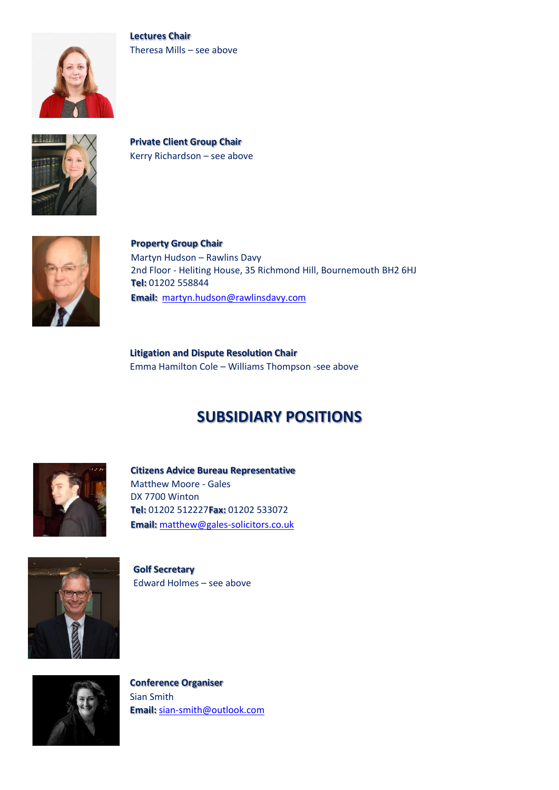





**Private Client Group Chair** Kerry Richardson – see above



 **Property Group Chair** Martyn Hudson – Rawlins Davy 2nd Floor - Heliting House, 35 Richmond Hill, Bournemouth BH2 6HJ  **Tel:** 01202 558844  **Email:** [martyn.hudson@rawlinsdavy.com](mailto:martyn.hudson@rawlinsdavy.com)

**Litigation and Dispute Resolution Chair** Emma Hamilton Cole – Williams Thompson -see above

## **SUBSIDIARY POSITIONS**



 **Citizens Advice Bureau Representative** Matthew Moore - Gales DX 7700 Winton  **Tel:** 01202 512227**Fax:** 01202 533072  **Email:** [matthew@gales-solicitors.co.uk](mailto:matthew@gales-solicitors.co.uk)



**Golf Secretary** Edward Holmes – see above



**Conference Organiser** Sian Smith **Email:** [sian-smith@outlook.com](mailto:sian-smith@outlook.com)